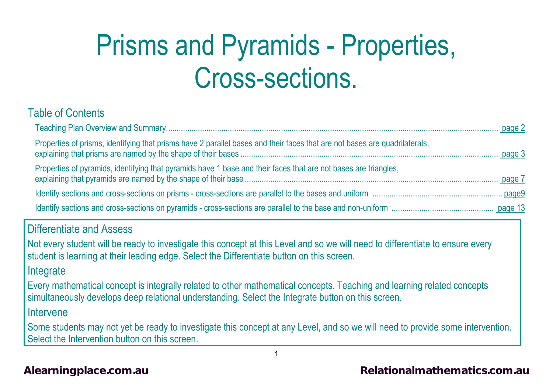# Prisms and Pyramids - Properties, Cross-sections.

## Table of Contents

| Properties of prisms, identifying that prisms have 2 parallel bases and their faces that are not bases are quadrilaterals,                                                                                                    |  |
|-------------------------------------------------------------------------------------------------------------------------------------------------------------------------------------------------------------------------------|--|
| Properties of pyramids, identifying that pyramids have 1 base and their faces that are not bases are triangles,                                                                                                               |  |
|                                                                                                                                                                                                                               |  |
|                                                                                                                                                                                                                               |  |
| <b>Differentiate and Assess</b>                                                                                                                                                                                               |  |
| Not every student will be ready to investigate this concept at this Level and so we will need to differentiate to ensure every<br>student is learning at their leading edge. Select the Differentiate button on this screen.  |  |
| Integrate                                                                                                                                                                                                                     |  |
| Every mathematical concept is integrally related to other mathematical concepts. Teaching and learning related concepts<br>simultaneously develops deep relational understanding. Select the Integrate button on this screen. |  |
| Intervene                                                                                                                                                                                                                     |  |
| Some students may not yet be ready to investigate this concept at any Level, and so we will need to provide some intervention.<br>Select the Intervention button on this screen.                                              |  |

1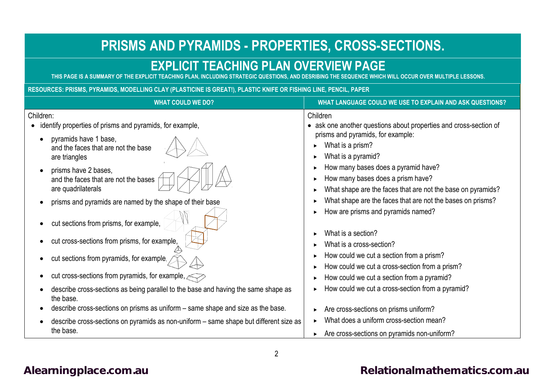# **PRISMS AND PYRAMIDS - PROPERTIES, CROSS-SECTIONS.**

# <span id="page-1-0"></span>**EXPLICIT TEACHING PLAN OVERVIEW PAGE**

AND DESRIBING THE SEQUENCE WHICH WILL OCCUR OVER MULTIPLE LESSONS.

**RESOURCES: PRISMS, PYRAMIDS, MODELLING CLAY (PLASTICINE IS GREAT!), PLASTIC KNIFE OR FISHING LINE, PENCIL, PAPER**

| <b>WHAT COULD WE DO?</b>                                                                           | WHAT LANGUAGE COULD WE USE TO EXPLAIN AND ASK QUESTIONS?                                                                                |
|----------------------------------------------------------------------------------------------------|-----------------------------------------------------------------------------------------------------------------------------------------|
| Children:<br>identify properties of prisms and pyramids, for example,                              | Children<br>• ask one another questions about properties and cross-section of                                                           |
| pyramids have 1 base,<br>and the faces that are not the base<br>are triangles                      | prisms and pyramids, for example:<br>What is a prism?<br>What is a pyramid?                                                             |
| prisms have 2 bases,<br>and the faces that are not the bases<br>are quadrilaterals                 | How many bases does a pyramid have?<br>How many bases does a prism have?<br>What shape are the faces that are not the base on pyramids? |
| prisms and pyramids are named by the shape of their base                                           | What shape are the faces that are not the bases on prisms?<br>How are prisms and pyramids named?                                        |
| cut sections from prisms, for example,<br>cut cross-sections from prisms, for example,             | What is a section?<br>What is a cross-section?                                                                                          |
| cut sections from pyramids, for example,                                                           | How could we cut a section from a prism?<br>How could we cut a cross-section from a prism?                                              |
| cut cross-sections from pyramids, for example, $\leq$                                              | How could we cut a section from a pyramid?                                                                                              |
| describe cross-sections as being parallel to the base and having the same shape as<br>the base.    | How could we cut a cross-section from a pyramid?                                                                                        |
| describe cross-sections on prisms as uniform – same shape and size as the base.                    | Are cross-sections on prisms uniform?                                                                                                   |
| describe cross-sections on pyramids as non-uniform - same shape but different size as<br>the base. | What does a uniform cross-section mean?<br>Are cross-sections on pyramids non-uniform?                                                  |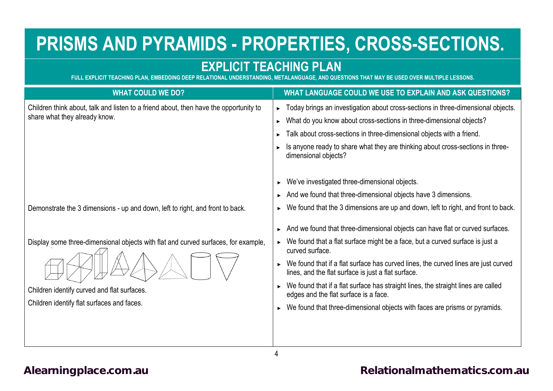# **PRISMS AND PYRAMIDS - PROPERTIES, CROSS-SECTIONS.**

# **EXPLICIT TEACHING PLAN**<br>ELATIONAL UNDERSTANDING. METALANGUAGE. AND QUESTIONS THAT MAY BE USED OVER MULTIPLE LESSONS

**FULL EXPLICIT TEACHING PLAN, EMBEDDING DEEP RELATIONAL UNDERSTANDING.** 

<span id="page-3-0"></span>

| WHAT LANGUAGE COULD WE USE TO EXPLAIN AND ASK QUESTIONS?                                                                                  |
|-------------------------------------------------------------------------------------------------------------------------------------------|
| Today brings an investigation about cross-sections in three-dimensional objects.<br>►                                                     |
| What do you know about cross-sections in three-dimensional objects?                                                                       |
| Talk about cross-sections in three-dimensional objects with a friend.                                                                     |
| Is anyone ready to share what they are thinking about cross-sections in three-<br>dimensional objects?                                    |
| We've investigated three-dimensional objects.                                                                                             |
| And we found that three-dimensional objects have 3 dimensions.                                                                            |
| We found that the 3 dimensions are up and down, left to right, and front to back.                                                         |
| And we found that three-dimensional objects can have flat or curved surfaces.                                                             |
| $\triangleright$ We found that a flat surface might be a face, but a curved surface is just a<br>curved surface.                          |
| We found that if a flat surface has curved lines, the curved lines are just curved<br>lines, and the flat surface is just a flat surface. |
| We found that if a flat surface has straight lines, the straight lines are called<br>edges and the flat surface is a face.                |
| We found that three-dimensional objects with faces are prisms or pyramids.                                                                |
|                                                                                                                                           |
|                                                                                                                                           |
|                                                                                                                                           |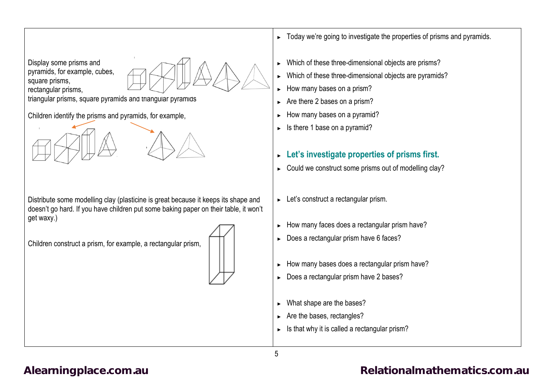

rectangular prisms,

triangular prisms, square pyramids and triangular pyramids

Children identify the prisms and pyramids, for example,

Distribute some modelling clay (plasticine is great because it keeps its shape and doesn't go hard. If you have children put some baking paper on their table, it won't get waxy.)

Children construct a prism, for example, a rectangular prism,



- ► Today we're going to investigate the properties of prisms and pyramids.
- Which of these three-dimensional objects are prisms?
- ► Which of these three-dimensional objects are pyramids?
- ► How many bases on a prism?
- ► Are there 2 bases on a prism?
- How many bases on a pyramid?
- $\blacktriangleright$  Is there 1 base on a pyramid?

## ► **Let's investigate properties of prisms first.**

- ► Could we construct some prisms out of modelling clay?
- ► Let's construct a rectangular prism.
- ► How many faces does a rectangular prism have?
- ► Does a rectangular prism have 6 faces?
- ► How many bases does a rectangular prism have?
- ► Does a rectangular prism have 2 bases?
- What shape are the bases?
- ► Are the bases, rectangles?
- ► Is that why it is called a rectangular prism?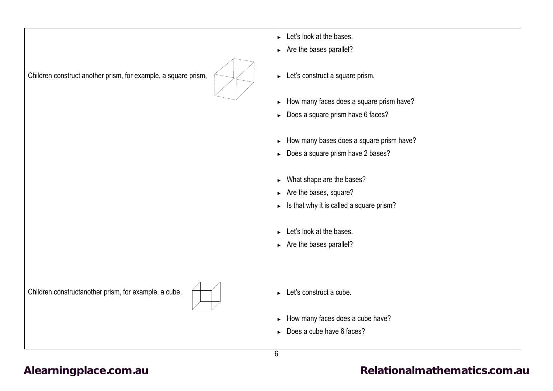|                                                                | $\blacktriangleright$ Let's look at the bases.        |
|----------------------------------------------------------------|-------------------------------------------------------|
|                                                                | $\triangleright$ Are the bases parallel?              |
| Children construct another prism, for example, a square prism, | $\blacktriangleright$ Let's construct a square prism. |
|                                                                | How many faces does a square prism have?<br>×.        |
|                                                                | $\triangleright$ Does a square prism have 6 faces?    |
|                                                                |                                                       |
|                                                                | How many bases does a square prism have?<br>▶.        |
|                                                                | Does a square prism have 2 bases?                     |
|                                                                |                                                       |
|                                                                | $\triangleright$ What shape are the bases?            |
|                                                                | $\triangleright$ Are the bases, square?               |
|                                                                | Is that why it is called a square prism?              |
|                                                                |                                                       |
|                                                                | $\blacktriangleright$ Let's look at the bases.        |
|                                                                | $\triangleright$ Are the bases parallel?              |
|                                                                |                                                       |
|                                                                |                                                       |
| Children constructanother prism, for example, a cube,          | $\blacktriangleright$ Let's construct a cube.         |
|                                                                | How many faces does a cube have?                      |
|                                                                | $\triangleright$ Does a cube have 6 faces?            |
|                                                                |                                                       |
|                                                                | 6                                                     |

# [Alearningplace.com.au](https://alearningplace.com.au/) **Alearningplace.com.au [Relationalmathematics.com.au](http://relationalmathematics.com.au/)**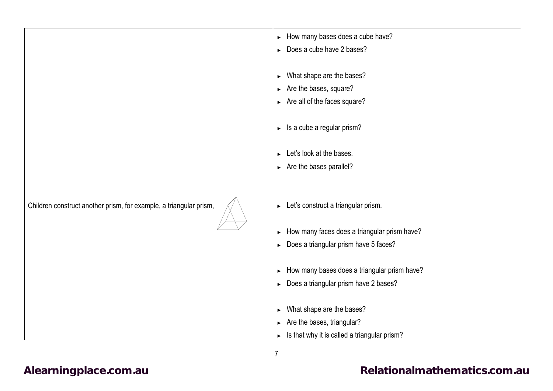|                                                                    | > How many bases does a cube have?                                    |
|--------------------------------------------------------------------|-----------------------------------------------------------------------|
|                                                                    | Does a cube have 2 bases?<br>$\blacktriangleright$                    |
|                                                                    |                                                                       |
|                                                                    |                                                                       |
|                                                                    | What shape are the bases?<br>$\blacktriangleright$                    |
|                                                                    | $\triangleright$ Are the bases, square?                               |
|                                                                    | $\triangleright$ Are all of the faces square?                         |
|                                                                    |                                                                       |
|                                                                    |                                                                       |
|                                                                    | Is a cube a regular prism?<br>$\blacktriangleright$                   |
|                                                                    |                                                                       |
|                                                                    | Let's look at the bases.<br>$\blacktriangleright$                     |
|                                                                    | $\triangleright$ Are the bases parallel?                              |
|                                                                    |                                                                       |
|                                                                    |                                                                       |
|                                                                    |                                                                       |
| Children construct another prism, for example, a triangular prism, | $\blacktriangleright$ Let's construct a triangular prism.             |
|                                                                    |                                                                       |
|                                                                    | How many faces does a triangular prism have?<br>$\blacktriangleright$ |
|                                                                    |                                                                       |
|                                                                    | Does a triangular prism have 5 faces?<br>$\blacktriangleright$        |
|                                                                    |                                                                       |
|                                                                    | How many bases does a triangular prism have?<br>$\blacktriangleright$ |
|                                                                    | Does a triangular prism have 2 bases?<br>$\blacktriangleright$        |
|                                                                    |                                                                       |
|                                                                    |                                                                       |
|                                                                    | What shape are the bases?<br>$\blacktriangleright$                    |
|                                                                    | $\triangleright$ Are the bases, triangular?                           |
|                                                                    | Is that why it is called a triangular prism?<br>$\blacktriangleright$ |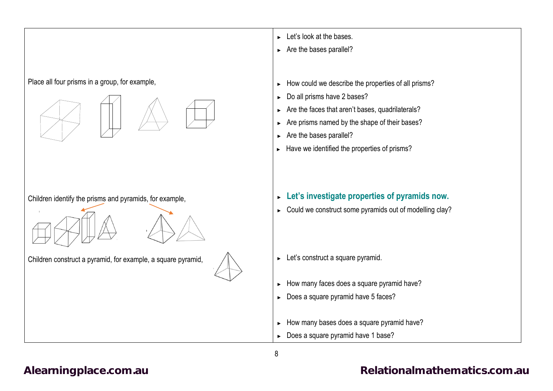## Place all four prisms in a group, for example,



Children identify the prisms and pyramids, for example,

Children construct a pyramid, for example, a square pyramid,



- ► Let's look at the bases.
- ► Are the bases parallel?
- ► How could we describe the properties of all prisms?
- ► Do all prisms have 2 bases?
- ► Are the faces that aren't bases, quadrilaterals?
- ► Are prisms named by the shape of their bases?
- ► Are the bases parallel?
- ► Have we identified the properties of prisms?
- ► **Let's investigate properties of pyramids now.**
- ► Could we construct some pyramids out of modelling clay?
- ► Let's construct a square pyramid.
- ► How many faces does a square pyramid have?
- ► Does a square pyramid have 5 faces?
- ► How many bases does a square pyramid have?
- ► Does a square pyramid have 1 base?

## [Alearningplace.com.au](https://alearningplace.com.au/) *Alearningplace.com.au* **[Relationalmathematics.com.au](http://relationalmathematics.com.au/)**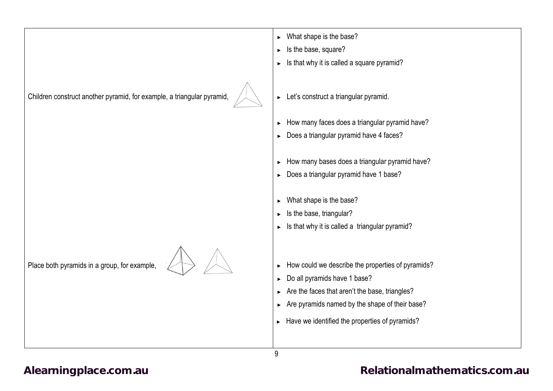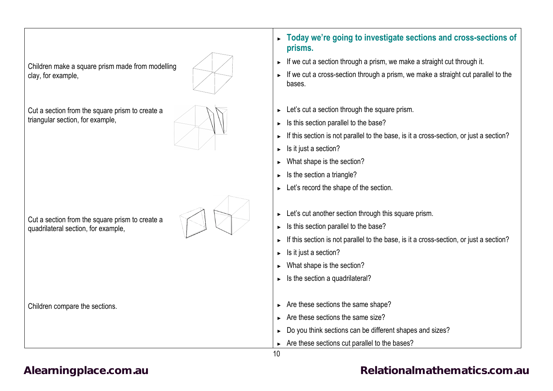| Children make a square prism made from modelling<br>clay, for example,                 | If we cut a section through a prism, we make a straight cut through it.<br>If we cut a cross-section through a prism, we make a straight cut parallel to the<br>$\blacktriangleright$<br>bases.                                                                                                                                           |
|----------------------------------------------------------------------------------------|-------------------------------------------------------------------------------------------------------------------------------------------------------------------------------------------------------------------------------------------------------------------------------------------------------------------------------------------|
| Cut a section from the square prism to create a<br>triangular section, for example,    | Let's cut a section through the square prism.<br>▶<br>Is this section parallel to the base?<br>▶<br>If this section is not parallel to the base, is it a cross-section, or just a section?<br>Is it just a section?<br>▶<br>What shape is the section?<br>Is the section a triangle?<br>▶<br>Let's record the shape of the section.<br>Þ. |
| Cut a section from the square prism to create a<br>quadrilateral section, for example, | Let's cut another section through this square prism.<br>▶<br>Is this section parallel to the base?<br>$\blacktriangleright$<br>If this section is not parallel to the base, is it a cross-section, or just a section?<br>Is it just a section?<br>What shape is the section?<br>▶<br>Is the section a quadrilateral?                      |
| Children compare the sections.                                                         | Are these sections the same shape?<br>▶<br>Are these sections the same size?<br>Do you think sections can be different shapes and sizes?<br>×.<br>Are these sections cut parallel to the bases?                                                                                                                                           |
|                                                                                        | 10                                                                                                                                                                                                                                                                                                                                        |

 $\overline{\phantom{a}}$ 

**prisms.**

## [Alearningplace.com.au](https://alearningplace.com.au/) *[Relationalmathematics.com.au](http://relationalmathematics.com.au/)* Relationalmathematics.com.au

► **Today we're going to investigate sections and cross-sections of**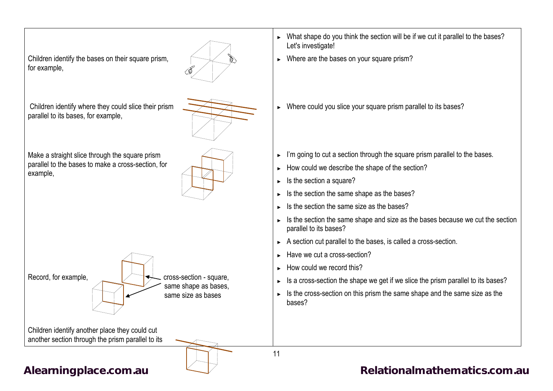

same shape as bases, same size as bases

Record, for example,  $\sqrt{\leftarrow}$  cross-section - square,

► What shape do you think the section will be if we cut it parallel to the bases? Let's investigate!

- ► Where are the bases on your square prism?
- ► Where could you slice your square prism parallel to its bases?
- ► I'm going to cut a section through the square prism parallel to the bases.
- ► How could we describe the shape of the section?
- ► Is the section a square?
- ► Is the section the same shape as the bases?
- ► Is the section the same size as the bases?
- ► Is the section the same shape and size as the bases because we cut the section parallel to its bases?
- ► A section cut parallel to the bases, is called a cross-section.
- ► Have we cut a cross-section?
- ► How could we record this?

11

- ► Is a cross-section the shape we get if we slice the prism parallel to its bases?
- ► Is the cross-section on this prism the same shape and the same size as the bases?

Children identify another place they could cut another section through the prism parallel to its

[Alearningplace.com.au](https://alearningplace.com.au/)  $\Box$  [Relationalmathematics.com.au](http://relationalmathematics.com.au/)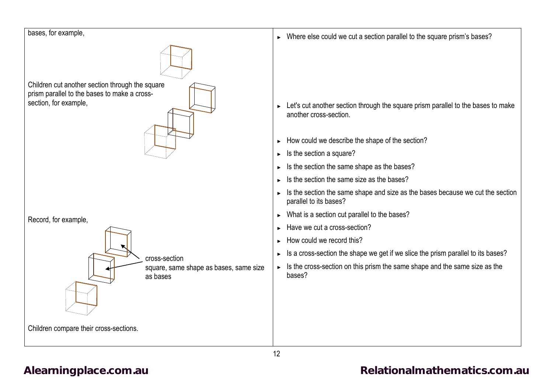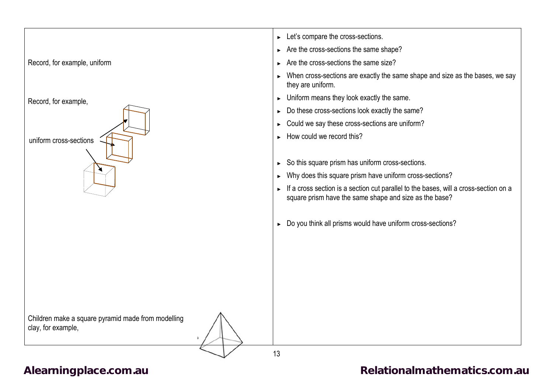

[Alearningplace.com.au](https://alearningplace.com.au/) *Alearningplace.com.au* **[Relationalmathematics.com.au](http://relationalmathematics.com.au/)**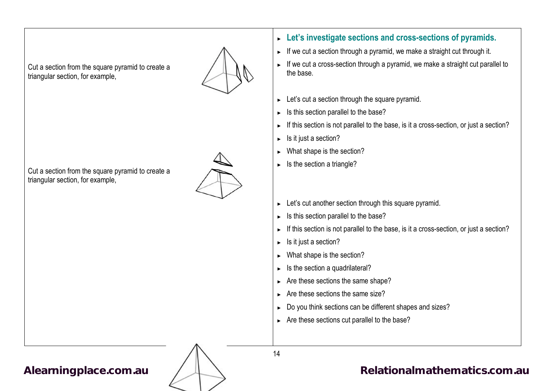Cut a section from the square pyramid to create a triangular section, for example,



Cut a section from the square pyramid to create a triangular section, for example,



► **Let's investigate sections and cross-sections of pyramids.**

- ► If we cut a section through a pyramid, we make a straight cut through it.
- ► If we cut a cross-section through a pyramid, we make a straight cut parallel to the base.
- ► Let's cut a section through the square pyramid.
- ► Is this section parallel to the base?
- ► If this section is not parallel to the base, is it a cross-section, or just a section?
- ► Is it just a section?
- ► What shape is the section?
- $\blacktriangleright$  Is the section a triangle?
- ► Let's cut another section through this square pyramid.
- ► Is this section parallel to the base?
- ► If this section is not parallel to the base, is it a cross-section, or just a section?
- ► Is it just a section?
- ► What shape is the section?
- $\blacktriangleright$  Is the section a quadrilateral?
- ► Are these sections the same shape?
- ► Are these sections the same size?
- ► Do you think sections can be different shapes and sizes?
- ► Are these sections cut parallel to the base?



# [Alearningplace.com.au](https://alearningplace.com.au/) /  $\downarrow\downarrow\downarrow$  [Relationalmathematics.com.au](http://relationalmathematics.com.au/)

14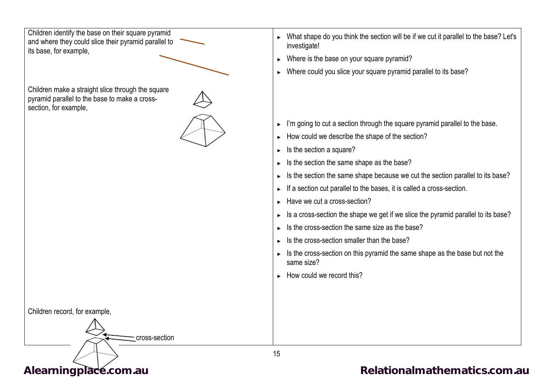Children identify the base on their square pyramid and where they could slice their pyramid parallel to its base, for example,

Children make a straight slice through the square pyramid parallel to the base to make a crosssection, for example,

Children record, for example,



► What shape do you think the section will be if we cut it parallel to the base? Let's investigate!

- ► Where is the base on your square pyramid?
- ► Where could you slice your square pyramid parallel to its base?

- ► I'm going to cut a section through the square pyramid parallel to the base.
- ► How could we describe the shape of the section?
- ► Is the section a square?
- ► Is the section the same shape as the base?
- ► Is the section the same shape because we cut the section parallel to its base?
- ► If a section cut parallel to the bases, it is called a cross-section.
- ► Have we cut a cross-section?
- ► Is a cross-section the shape we get if we slice the pyramid parallel to its base?
- ► Is the cross-section the same size as the base?
- ► Is the cross-section smaller than the base?
- ► Is the cross-section on this pyramid the same shape as the base but not the same size?
- ► How could we record this?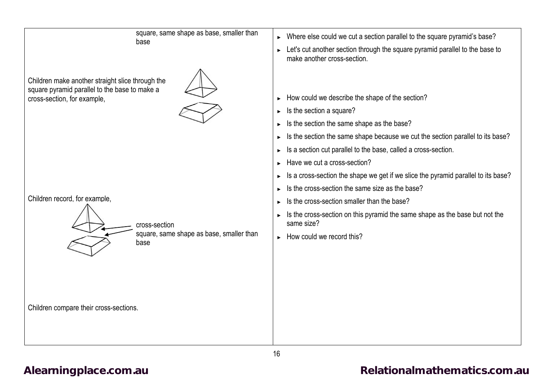| square, same shape as base, smaller than<br>base                                                                                 | Where else could we cut a section parallel to the square pyramid's base?<br>$\blacktriangleright$<br>Let's cut another section through the square pyramid parallel to the base to<br>make another cross-section.                                                                                                                                                                                                                      |
|----------------------------------------------------------------------------------------------------------------------------------|---------------------------------------------------------------------------------------------------------------------------------------------------------------------------------------------------------------------------------------------------------------------------------------------------------------------------------------------------------------------------------------------------------------------------------------|
| Children make another straight slice through the<br>square pyramid parallel to the base to make a<br>cross-section, for example, | How could we describe the shape of the section?<br>Is the section a square?<br>Is the section the same shape as the base?<br>Is the section the same shape because we cut the section parallel to its base?                                                                                                                                                                                                                           |
| Children record, for example,<br>cross-section<br>square, same shape as base, smaller than<br>base                               | Is a section cut parallel to the base, called a cross-section.<br>Have we cut a cross-section?<br>Is a cross-section the shape we get if we slice the pyramid parallel to its base?<br>Is the cross-section the same size as the base?<br>Is the cross-section smaller than the base?<br>Is the cross-section on this pyramid the same shape as the base but not the<br>same size?<br>$\blacktriangleright$ How could we record this? |
| Children compare their cross-sections.                                                                                           |                                                                                                                                                                                                                                                                                                                                                                                                                                       |